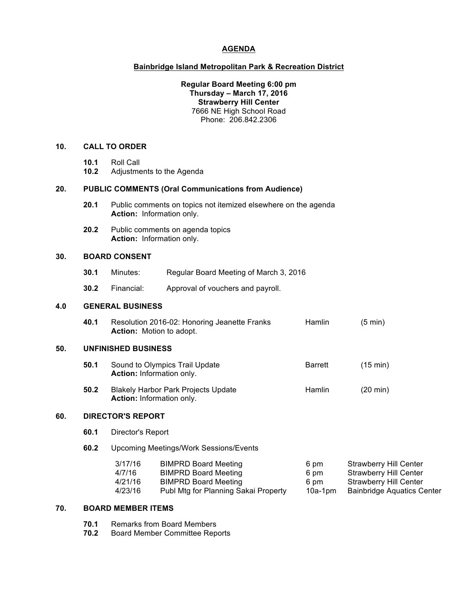## **AGENDA**

### **Bainbridge Island Metropolitan Park & Recreation District**

### **Regular Board Meeting 6:00 pm Thursday – March 17, 2016 Strawberry Hill Center** 7666 NE High School Road Phone: 206.842.2306

## **10. CALL TO ORDER**

- **10.1** Roll Call
- **10.2** Adjustments to the Agenda

## **20. PUBLIC COMMENTS (Oral Communications from Audience)**

- **20.1** Public comments on topics not itemized elsewhere on the agenda **Action:** Information only.
- **20.2** Public comments on agenda topics **Action:** Information only.

### **30. BOARD CONSENT**

- **30.1** Minutes: Regular Board Meeting of March 3, 2016
- **30.2** Financial: Approval of vouchers and payroll.

## **4.0 GENERAL BUSINESS**

| 40.1 | Resolution 2016-02: Honoring Jeanette Franks | Hamlin | $(5 \text{ min})$ |
|------|----------------------------------------------|--------|-------------------|
|      | <b>Action:</b> Motion to adopt.              |        |                   |

## **50. UNFINISHED BUSINESS**

- **50.1** Sound to Olympics Trail Update **Barrett** (15 min) **Action:** Information only.
- **50.2** Blakely Harbor Park Projects Update Hamlin (20 min) **Action:** Information only.

# **60. DIRECTOR'S REPORT**

- **60.1** Director's Report
- **60.2** Upcoming Meetings/Work Sessions/Events

| 3/17/16 | <b>BIMPRD Board Meeting</b>          | 6 pm    | <b>Strawberry Hill Center</b>     |
|---------|--------------------------------------|---------|-----------------------------------|
| 4/7/16  | <b>BIMPRD Board Meeting</b>          | 6 pm    | Strawberry Hill Center            |
| 4/21/16 | <b>BIMPRD Board Meeting</b>          | 6 pm    | Strawberry Hill Center            |
| 4/23/16 | Publ Mtg for Planning Sakai Property | 10a-1pm | <b>Bainbridge Aquatics Center</b> |

## **70. BOARD MEMBER ITEMS**

- **70.1** Remarks from Board Members<br>**70.2** Board Member Committee Rep
- **70.2** Board Member Committee Reports